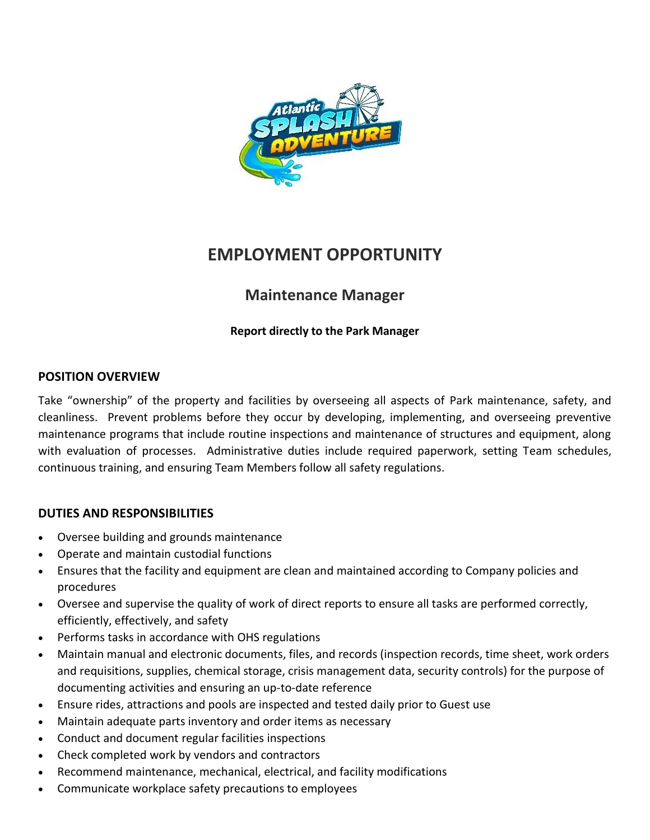

# **EMPLOYMENT OPPORTUNITY**

## **Maintenance Manager**

## **Report directly to the Park Manager**

## **POSITION OVERVIEW**

Take "ownership" of the property and facilities by overseeing all aspects of Park maintenance, safety, and cleanliness. Prevent problems before they occur by developing, implementing, and overseeing preventive maintenance programs that include routine inspections and maintenance of structures and equipment, along with evaluation of processes. Administrative duties include required paperwork, setting Team schedules, continuous training, and ensuring Team Members follow all safety regulations.

## **DUTIES AND RESPONSIBILITIES**

- Oversee building and grounds maintenance
- Operate and maintain custodial functions
- Ensures that the facility and equipment are clean and maintained according to Company policies and procedures
- Oversee and supervise the quality of work of direct reports to ensure all tasks are performed correctly, efficiently, effectively, and safety
- Performs tasks in accordance with OHS regulations
- Maintain manual and electronic documents, files, and records (inspection records, time sheet, work orders and requisitions, supplies, chemical storage, crisis management data, security controls) for the purpose of documenting activities and ensuring an up-to-date reference
- Ensure rides, attractions and pools are inspected and tested daily prior to Guest use
- Maintain adequate parts inventory and order items as necessary
- Conduct and document regular facilities inspections
- Check completed work by vendors and contractors
- Recommend maintenance, mechanical, electrical, and facility modifications
- Communicate workplace safety precautions to employees